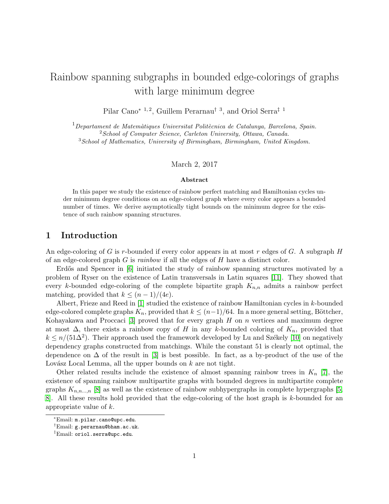# Rainbow spanning subgraphs in bounded edge-colorings of graphs with large minimum degree

Pilar Cano<sup>∗ 1, 2</sup>, Guillem Perarnau<sup>† 3</sup>, and Oriol Serra<sup>‡ 1</sup>

 $1$ Departament de Matemàtiques Universitat Politècnica de Catalunya, Barcelona, Spain. <sup>2</sup> School of Computer Science, Carleton University, Ottawa, Canada.  $3$ School of Mathematics, University of Birmingham, Birmingham, United Kingdom.

#### March 2, 2017

#### Abstract

In this paper we study the existence of rainbow perfect matching and Hamiltonian cycles under minimum degree conditions on an edge-colored graph where every color appears a bounded number of times. We derive asymptotically tight bounds on the minimum degree for the existence of such rainbow spanning structures.

## 1 Introduction

An edge-coloring of G is r-bounded if every color appears in at most r edges of G. A subgraph  $H$ of an edge-colored graph  $G$  is *rainbow* if all the edges of  $H$  have a distinct color.

Erdős and Spencer in  $\left[6\right]$  initiated the study of rainbow spanning structures motivated by a problem of Ryser on the existence of Latin transversals in Latin squares [\[11\]](#page-9-1). They showed that every k-bounded edge-coloring of the complete bipartite graph  $K_{n,n}$  admits a rainbow perfect matching, provided that  $k \leq (n-1)/(4e)$ .

Albert, Frieze and Reed in [\[1\]](#page-9-2) studied the existence of rainbow Hamiltonian cycles in k-bounded edge-colored complete graphs  $K_n$ , provided that  $k \leq (n-1)/64$ . In a more general setting, Böttcher, Kohayakawa and Proccaci [\[3\]](#page-9-3) proved that for every graph  $H$  on  $n$  vertices and maximum degree at most  $\Delta$ , there exists a rainbow copy of H in any k-bounded coloring of  $K_n$ , provided that  $k \leq n/(51\Delta^2)$ . Their approach used the framework developed by Lu and Székely [\[10\]](#page-9-4) on negatively dependency graphs constructed from matchings. While the constant 51 is clearly not optimal, the dependence on  $\Delta$  of the result in [\[3\]](#page-9-3) is best possible. In fact, as a by-product of the use of the Lovász Local Lemma, all the upper bounds on  $k$  are not tight.

Other related results include the existence of almost spanning rainbow trees in  $K_n$  [\[7\]](#page-9-5), the existence of spanning rainbow multipartite graphs with bounded degrees in multipartite complete graphs  $K_{n,n,\dots,n}$  [\[8\]](#page-9-6) as well as the existence of rainbow subhypergraphs in complete hypergraphs [\[5,](#page-9-7) [8\]](#page-9-6). All these results hold provided that the edge-coloring of the host graph is k-bounded for an appropriate value of k.

<sup>∗</sup>Email: m.pilar.cano@upc.edu.

<sup>†</sup>Email: g.perarnau@bham.ac.uk.

<sup>‡</sup>Email: oriol.serra@upc.edu.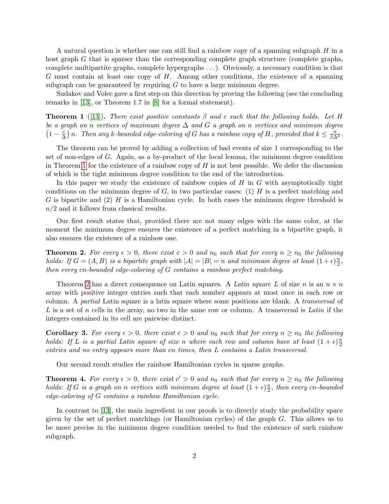A natural question is whether one can still find a rainbow copy of a spanning subgraph  $H$  in a host graph G that is sparser than the corresponding complete graph structure (complete graphs, complete multipartite graphs, complete hypergraphs . . .). Obviously, a necessary condition is that  $G$  must contain at least one copy of  $H$ . Among other conditions, the existence of a spanning subgraph can be guaranteed by requiring  $G$  to have a large minimum degree.

Sudakov and Volec gave a first step on this direction by proving the following (see the concluding remarks in [\[13\]](#page-9-8), or Theorem 1.7 in [\[8\]](#page-9-6) for a formal statement).

<span id="page-1-0"></span>**Theorem 1** ([\[13\]](#page-9-8)). There exist positive constants  $\beta$  and c such that the following holds. Let H be a graph on n vertices of maximum degree  $\Delta$  and G a graph on n vertices and minimum degree  $\left(1-\frac{c}{\Delta}\right)$  $\frac{c}{\Delta}$ ) n. Then any k-bounded edge-coloring of G has a rainbow copy of H, provided that  $k \leq \frac{n}{\beta \Delta^2}$ .

The theorem can be proved by adding a collection of bad events of size 1 corresponding to the set of non-edges of G. Again, as a by-product of the local lemma, the minimum degree condition in Theorem [1](#page-1-0) for the existence of a rainbow copy of  $H$  is not best possible. We defer the discussion of which is the tight minimum degree condition to the end of the introduction.

In this paper we study the existence of rainbow copies of  $H$  in  $G$  with asymptotically tight conditions on the minimum degree of  $G$ , in two particular cases: (1)  $H$  is a perfect matching and G is bipartite and (2) H is a Hamiltonian cycle. In both cases the minimum degree threshold is  $n/2$  and it follows from classical results.

Our first result states that, provided there are not many edges with the same color, at the moment the minimum degree ensures the existence of a perfect matching in a bipartite graph, it also ensures the existence of a rainbow one.

<span id="page-1-1"></span>**Theorem 2.** For every  $\epsilon > 0$ , there exist  $c > 0$  and  $n_0$  such that for every  $n \geq n_0$  the following holds: If  $G = (A, B)$  is a bipartite graph with  $|A| = |B| = n$  and minimum degree at least  $(1 + \epsilon)\frac{n}{2}$  $\frac{n}{2}$ , then every cn-bounded edge-coloring of G contains a rainbow perfect matching.

Theorem [2](#page-1-1) has a direct consequence on Latin squares. A Latin square L of size n is an  $n \times n$ array with positive integer entries such that each number appears at most once in each row or column. A partial Latin square is a latin square where some positions are blank. A transversal of L is a set of n cells in the array, no two in the same row or column. A transversal is Latin if the integers contained in its cell are pairwise distinct.

**Corollary 3.** For every  $\epsilon > 0$ , there exist  $c > 0$  and  $n_0$  such that for every  $n \geq n_0$  the following holds: If L is a partial Latin square of size n where each row and column have at least  $(1+\epsilon)\frac{n}{2}$ 2 entries and no entry appears more than cn times, then L contains a Latin transversal.

Our second result studies the rainbow Hamiltonian cycles in sparse graphs.

<span id="page-1-2"></span>**Theorem 4.** For every  $\epsilon > 0$ , there exist  $c' > 0$  and  $n_0$  such that for every  $n \geq n_0$  the following holds: If G is a graph on n vertices with minimum degree at least  $(1+\epsilon)\frac{n}{2}$  $\frac{n}{2}$ , then every cn-bounded edge-coloring of G contains a rainbow Hamiltonian cycle.

In contrast to [\[13\]](#page-9-8), the main ingredient in our proofs is to directly study the probability space given by the set of perfect matchings (or Hamiltonian cycles) of the graph G. This allows us to be more precise in the minimum degree condition needed to find the existence of such rainbow subgraph.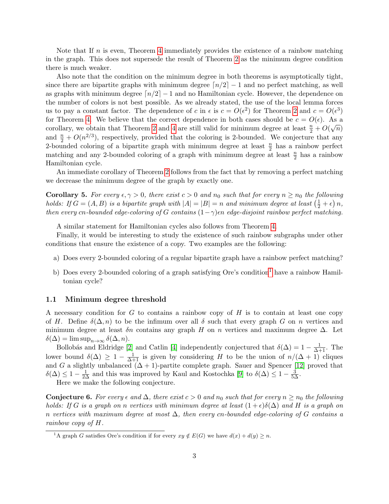Note that If  $n$  is even, Theorem [4](#page-1-2) immediately provides the existence of a rainbow matching in the graph. This does not supersede the result of Theorem [2](#page-1-1) as the minimum degree condition there is much weaker.

Also note that the condition on the minimum degree in both theorems is asymptotically tight, since there are bipartite graphs with minimum degree  $\lceil n/2 \rceil - 1$  and no perfect matching, as well as graphs with minimum degree  $\lceil n/2 \rceil - 1$  and no Hamiltonian cycle. However, the dependence on the number of colors is not best possible. As we already stated, the use of the local lemma forces us to pay a constant factor. The dependence of c in  $\epsilon$  is  $c = O(\epsilon^2)$  for Theorem [2](#page-1-1) and  $c = O(\epsilon^3)$ for Theorem [4.](#page-1-2) We believe that the correct dependence in both cases should be  $c = O(\epsilon)$ . As a corollary, we obtain that Theorem [2](#page-1-1) and [4](#page-1-2) are still valid for minimum degree at least  $\frac{n}{2} + O(\sqrt{n})$ and  $\frac{n}{2} + O(n^{2/3})$ , respectively, provided that the coloring is 2-bounded. We conjecture that any 2-bounded coloring of a bipartite graph with minimum degree at least  $\frac{n}{2}$  has a rainbow perfect matching and any 2-bounded coloring of a graph with minimum degree at least  $\frac{n}{2}$  has a rainbow Hamiltonian cycle.

An immediate corollary of Theorem [2](#page-1-1) follows from the fact that by removing a perfect matching we decrease the minimum degree of the graph by exactly one.

**Corollary 5.** For every  $\epsilon, \gamma > 0$ , there exist  $c > 0$  and  $n_0$  such that for every  $n \geq n_0$  the following holds: If  $G = (A, B)$  is a bipartite graph with  $|A| = |B| = n$  and minimum degree at least  $(\frac{1}{2} + \epsilon) n$ , then every cn-bounded edge-coloring of G contains  $(1-\gamma)\epsilon n$  edge-disjoint rainbow perfect matching.

A similar statement for Hamiltonian cycles also follows from Theorem [4.](#page-1-2)

Finally, it would be interesting to study the existence of such rainbow subgraphs under other conditions that ensure the existence of a copy. Two examples are the following:

- a) Does every 2-bounded coloring of a regular bipartite graph have a rainbow perfect matching?
- b) Does every 2-bounded coloring of a graph satisfying Ore's condition<sup>[1](#page-2-0)</sup> have a rainbow Hamiltonian cycle?

#### 1.1 Minimum degree threshold

A necessary condition for G to contains a rainbow copy of H is to contain at least one copy of H. Define  $\delta(\Delta, n)$  to be the infimum over all  $\delta$  such that every graph G on n vertices and minimum degree at least  $\delta n$  contains any graph H on n vertices and maximum degree  $\Delta$ . Let  $\delta(\Delta) = \limsup_{n \to \infty} \delta(\Delta, n).$ 

Bollobás and Eldridge [\[2\]](#page-9-9) and Catlin [\[4\]](#page-9-10) independently conjectured that  $\delta(\Delta) = 1 - \frac{1}{\Delta + 1}$ . The lower bound  $\delta(\Delta) \geq 1 - \frac{1}{\Delta+1}$  is given by considering H to be the union of  $n/(\Delta+1)$  cliques and G a slightly unbalanced  $(\Delta + 1)$ -partite complete graph. Sauer and Spencer [\[12\]](#page-9-11) proved that  $\delta(\Delta) \leq 1 - \frac{1}{2\Delta}$  and this was improved by Kaul and Kostochka [\[9\]](#page-9-12) to  $\delta(\Delta) \leq 1 - \frac{3}{5\Delta}$ .

Here we make the following conjecture.

<span id="page-2-1"></span>**Conjecture 6.** For every  $\epsilon$  and  $\Delta$ , there exist  $c > 0$  and  $n_0$  such that for every  $n \geq n_0$  the following holds: If G is a graph on n vertices with minimum degree at least  $(1+\epsilon)\delta(\Delta)$  and H is a graph on n vertices with maximum degree at most  $\Delta$ , then every cn-bounded edge-coloring of G contains a rainbow copy of H.

<span id="page-2-0"></span><sup>&</sup>lt;sup>1</sup>A graph G satisfies Ore's condition if for every  $xy \notin E(G)$  we have  $d(x) + d(y) \geq n$ .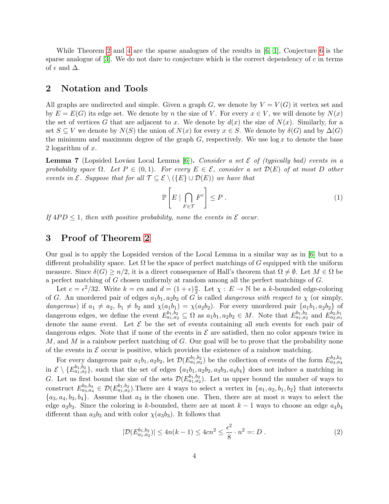While Theorem [2](#page-1-1) and [4](#page-1-2) are the sparse analogues of the results in [\[6,](#page-9-0) [1\]](#page-9-2), Conjecture [6](#page-2-1) is the sparse analogue of  $[3]$ . We do not dare to conjecture which is the correct dependency of c in terms of  $\epsilon$  and  $\Delta$ .

## 2 Notation and Tools

All graphs are undirected and simple. Given a graph G, we denote by  $V = V(G)$  it vertex set and by  $E = E(G)$  its edge set. We denote by n the size of V. For every  $x \in V$ , we will denote by  $N(x)$ the set of vertices G that are adjacent to x. We denote by  $d(x)$  the size of  $N(x)$ . Similarly, for a set  $S \subseteq V$  we denote by  $N(S)$  the union of  $N(x)$  for every  $x \in S$ . We denote by  $\delta(G)$  and by  $\Delta(G)$ the minimum and maximum degree of the graph  $G$ , respectively. We use  $\log x$  to denote the base 2 logarithm of x.

<span id="page-3-1"></span>**Lemma 7** (Lopsided Lovász Local Lemma [\[6\]](#page-9-0)). Consider a set  $\mathcal E$  of (typically bad) events in a probability space  $\Omega$ . Let  $P \in (0,1)$ . For every  $E \in \mathcal{E}$ , consider a set  $\mathcal{D}(E)$  of at most D other events in  $\mathcal{E}$ . Suppose that for all  $\mathcal{T} \subseteq \mathcal{E} \setminus (\{E\} \cup \mathcal{D}(E))$  we have that

<span id="page-3-0"></span>
$$
\mathbb{P}\left[E \mid \bigcap_{F \in \mathcal{T}} F^c\right] \le P\,. \tag{1}
$$

If  $4PD \leq 1$ , then with positive probability, none the events in  $\mathcal E$  occur.

## 3 Proof of Theorem [2](#page-1-1)

Our goal is to apply the Lopsided version of the Local Lemma in a similar way as in [\[6\]](#page-9-0) but to a different probability space. Let  $\Omega$  be the space of perfect matchings of G equipped with the uniform measure. Since  $\delta(G) \geq n/2$ , it is a direct consequence of Hall's theorem that  $\Omega \neq \emptyset$ . Let  $M \in \Omega$  be a perfect matching of G chosen uniformly at random among all the perfect matchings of G.

Let  $c = \epsilon^2/32$ . Write  $k = cn$  and  $d = (1 + \epsilon)\frac{n}{2}$  $\frac{n}{2}$ . Let  $\chi: E \to \mathbb{N}$  be a k-bounded edge-coloring of G. An unordered pair of edges  $a_1b_1$ ,  $a_2b_2$  of G is called *dangerous with respect to*  $\chi$  (or simply, dangerous) if  $a_1 \neq a_2$ ,  $b_1 \neq b_2$  and  $\chi(a_1b_1) = \chi(a_2b_2)$ . For every unordered pair  $\{a_1b_1, a_2b_2\}$  of dangerous edges, we define the event  $E_{a_1,a_2}^{b_1,b_2} \subseteq \Omega$  as  $a_1b_1, a_2b_2 \in M$ . Note that  $E_{a_1,a_2}^{b_1,b_2}$  and  $E_{a_2,a_1}^{b_2,b_1}$ denote the same event. Let  $\mathcal E$  be the set of events containing all such events for each pair of dangerous edges. Note that if none of the events in  $\mathcal E$  are satisfied, then no color appears twice in  $M$ , and  $M$  is a rainbow perfect matching of  $G$ . Our goal will be to prove that the probability none of the events in  $\mathcal E$  occur is positive, which provides the existence of a rainbow matching.

For every dangerous pair  $a_1b_1, a_2b_2$ , let  $\mathcal{D}(E_{a_1,a_2}^{b_1,b_2})$  be the collection of events of the form  $E_{a_3,a_4}^{b_3,b_4}$ in  $\mathcal{E} \setminus \{E_{a_1,a_2}^{b_1,b_2}\}$ , such that the set of edges  $\{a_1b_1,a_2b_2,a_3b_3,a_4b_4\}$  does not induce a matching in G. Let us first bound the size of the sets  $\mathcal{D}(E_{a_1,a_2}^{b_1,b_2})$ . Let us upper bound the number of ways to construct  $E_{a_3,a_4}^{b_3,b_4} \in \mathcal{D}(E_{a_1,a_2}^{b_1,b_2})$ . There are 4 ways to select a vertex in  $\{a_1,a_2,b_1,b_2\}$  that intersects  ${a_3, a_4, b_3, b_4}.$  Assume that  $a_3$  is the chosen one. Then, there are at most n ways to select the edge  $a_3b_3$ . Since the coloring is k-bounded, there are at most  $k-1$  ways to choose an edge  $a_4b_4$ different than  $a_3b_3$  and with color  $\chi(a_3b_3)$ . It follows that

$$
|\mathcal{D}(E_{a_1, a_2}^{b_1, b_2})| \le 4n(k-1) \le 4cn^2 \le \frac{\epsilon^2}{8} \cdot n^2 =: D \ . \tag{2}
$$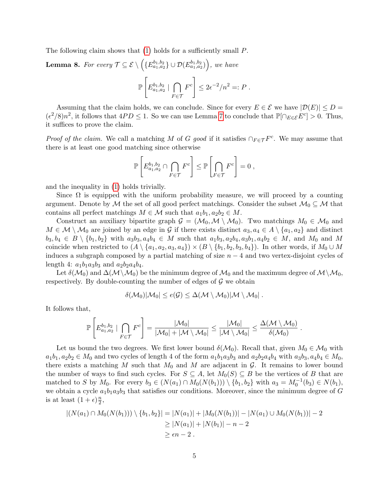The following claim shows that [\(1\)](#page-3-0) holds for a sufficiently small P.

**Lemma 8.** For every 
$$
\mathcal{T} \subseteq \mathcal{E} \setminus \left( \{ E_{a_1, a_2}^{b_1, b_2} \} \cup \mathcal{D}(E_{a_1, a_2}^{b_1, b_2}) \right)
$$
, we have  

$$
\mathbb{P} \left[ E_{a_1, a_2}^{b_1, b_2} \mid \bigcap_{F \in \mathcal{T}} F^c \right] \leq 2\epsilon^{-2}/n^2 =: P.
$$

Assuming that the claim holds, we can conclude. Since for every  $E \in \mathcal{E}$  we have  $|\mathcal{D}(E)| \le D =$  $({\epsilon}^2/8)n^2$ , it follows that  $4PD \leq 1$ . So we can use Lemma [7](#page-3-1) to conclude that  $\mathbb{P}[\cap_{E \in \mathcal{E}} E^c] > 0$ . Thus, it suffices to prove the claim.

*Proof of the claim.* We call a matching M of G good if it satisfies  $\cap_{F \in \mathcal{T}} F^c$ . We may assume that there is at least one good matching since otherwise

$$
\mathbb{P}\left[E_{a_1,a_2}^{b_1,b_2} \cap \bigcap_{F \in \mathcal{T}} F^c\right] \leq \mathbb{P}\left[\bigcap_{F \in \mathcal{T}} F^c\right] = 0,
$$

and the inequality in [\(1\)](#page-3-0) holds trivially.

Since  $\Omega$  is equipped with the uniform probability measure, we will proceed by a counting argument. Denote by M the set of all good perfect matchings. Consider the subset  $\mathcal{M}_0 \subseteq \mathcal{M}$  that contains all perfect matchings  $M \in \mathcal{M}$  such that  $a_1b_1, a_2b_2 \in M$ .

Construct an auxiliary bipartite graph  $\mathcal{G} = (\mathcal{M}_0, \mathcal{M} \setminus \mathcal{M}_0)$ . Two matchings  $M_0 \in \mathcal{M}_0$  and  $M \in \mathcal{M} \setminus \mathcal{M}_0$  are joined by an edge in G if there exists distinct  $a_3, a_4 \in A \setminus \{a_1, a_2\}$  and distinct  $b_3, b_4 \in B \setminus \{b_1, b_2\}$  with  $a_3b_3, a_4b_4 \in M$  such that  $a_1b_3, a_2b_4, a_3b_1, a_4b_2 \in M$ , and  $M_0$  and  $M$ coincide when restricted to  $(A \setminus \{a_1, a_2, a_3, a_4\}) \times (B \setminus \{b_1, b_2, b_3, b_4\})$ . In other words, if  $M_0 \cup M$ induces a subgraph composed by a partial matching of size  $n - 4$  and two vertex-disjoint cycles of length 4:  $a_1b_1a_3b_3$  and  $a_2b_2a_4b_4$ .

Let  $\delta(\mathcal{M}_0)$  and  $\Delta(\mathcal{M}\setminus\mathcal{M}_0)$  be the minimum degree of  $\mathcal{M}_0$  and the maximum degree of  $\mathcal{M}\setminus\mathcal{M}_0$ , respectively. By double-counting the number of edges of  $\mathcal G$  we obtain

$$
\delta(\mathcal{M}_0)|\mathcal{M}_0|\leq e(\mathcal{G})\leq \Delta(\mathcal{M}\setminus \mathcal{M}_0)|\mathcal{M}\setminus \mathcal{M}_0| \ .
$$

It follows that,

$$
\mathbb{P}\left[E_{a_1,a_2}^{b_1,b_2} \mid \bigcap_{F \in \mathcal{T}} F^c\right] = \frac{|\mathcal{M}_0|}{|\mathcal{M}_0| + |\mathcal{M} \setminus \mathcal{M}_0|} \le \frac{|\mathcal{M}_0|}{|\mathcal{M} \setminus \mathcal{M}_0|} \le \frac{\Delta(\mathcal{M} \setminus \mathcal{M}_0)}{\delta(\mathcal{M}_0)}
$$

.

Let us bound the two degrees. We first lower bound  $\delta(\mathcal{M}_0)$ . Recall that, given  $M_0 \in \mathcal{M}_0$  with  $a_1b_1, a_2b_2 \in M_0$  and two cycles of length 4 of the form  $a_1b_1a_3b_3$  and  $a_2b_2a_4b_4$  with  $a_3b_3, a_4b_4 \in M_0$ , there exists a matching M such that  $M_0$  and M are adjacent in G. It remains to lower bound the number of ways to find such cycles. For  $S \subseteq A$ , let  $M_0(S) \subseteq B$  be the vertices of B that are matched to S by  $M_0$ . For every  $b_3 \in (N(a_1) \cap M_0(N(b_1))) \setminus \{b_1, b_2\}$  with  $a_3 = M_0^{-1}(b_3) \in N(b_1)$ , we obtain a cycle  $a_1b_1a_3b_3$  that satisfies our conditions. Moreover, since the minimum degree of G is at least  $(1+\epsilon)\frac{n}{2}$  $\frac{n}{2}$ 

$$
|(N(a_1) \cap M_0(N(b_1))) \setminus \{b_1, b_2\}| = |N(a_1)| + |M_0(N(b_1))| - |N(a_1) \cup M_0(N(b_1))| - 2
$$
  
\n
$$
\geq |N(a_1)| + |N(b_1)| - n - 2
$$
  
\n
$$
\geq \epsilon n - 2.
$$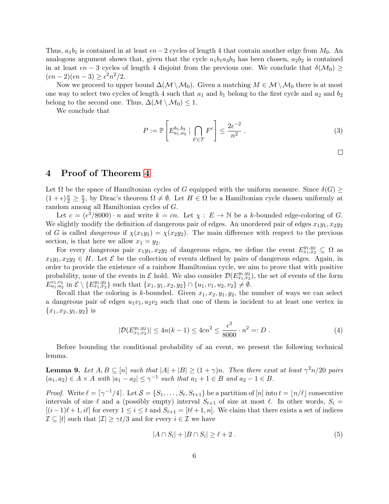Thus,  $a_1b_1$  is contained in at least  $\epsilon n-2$  cycles of length 4 that contain another edge from  $M_0$ . An analogous argument shows that, given that the cycle  $a_1b_1a_3b_3$  has been chosen,  $a_2b_2$  is contained in at least  $\epsilon n - 3$  cycles of length 4 disjoint from the previous one. We conclude that  $\delta(\mathcal{M}_0) \ge$  $(\epsilon n-2)(\epsilon n-3) \geq \epsilon^2 n^2/2.$ 

Now we proceed to upper bound  $\Delta(\mathcal{M}\setminus\mathcal{M}_0)$ . Given a matching  $M\in\mathcal{M}\setminus\mathcal{M}_0$  there is at most one way to select two cycles of length 4 such that  $a_1$  and  $b_1$  belong to the first cycle and  $a_2$  and  $b_2$ belong to the second one. Thus,  $\Delta(\mathcal{M} \setminus \mathcal{M}_0) \leq 1$ .

We conclude that

$$
P := \mathbb{P}\left[E_{a_1, a_2}^{b_1, b_2} \mid \bigcap_{F \in \mathcal{T}} F^c\right] \le \frac{2\epsilon^{-2}}{n^2} \,. \tag{3}
$$

 $\Box$ 

### 4 Proof of Theorem [4](#page-1-2)

Let  $\Omega$  be the space of Hamiltonian cycles of G equipped with the uniform measure. Since  $\delta(G)$  $(1+\epsilon)\frac{n}{2} \geq \frac{n}{2}$  $\frac{n}{2}$ , by Dirac's theorem  $\Omega \neq \emptyset$ . Let  $H \in \Omega$  be a Hamiltonian cycle chosen uniformly at random among all Hamiltonian cycles of G.

Let  $c = (\epsilon^3/8000) \cdot n$  and write  $k = cn$ . Let  $\chi : E \to \mathbb{N}$  be a k-bounded edge-coloring of G. We slightly modify the definition of dangerous pair of edges. An unordered pair of edges  $x_1y_1, x_2y_2$ of G is called *dangerous* if  $\chi(x_1y_1) = \chi(x_2y_2)$ . The main difference with respect to the previous section, is that here we allow  $x_1 = y_2$ .

For every dangerous pair  $x_1y_1, x_2y_2$  of dangerous edges, we define the event  $E_{x_1,x_2}^{y_1,y_2} \subseteq \Omega$  as  $x_1y_1, x_2y_2 \in H$ . Let  $\mathcal E$  be the collection of events defined by pairs of dangerous edges. Again, in order to provide the existence of a rainbow Hamiltonian cycle, we aim to prove that with positive probability, none of the events in  $\mathcal E$  hold. We also consider  $\mathcal D(E_{x_1,x_2}^{y_1,y_2})$ , the set of events of the form  $E_{u_1, u_2}^{v_1, v_2}$  in  $\mathcal{E} \setminus \{E_{x_1, x_2}^{y_1, y_2}\}$  such that  $\{x_1, y_1, x_2, y_2\} \cap \{u_1, v_1, u_2, v_2\} \neq \emptyset$ .

Recall that the coloring is k-bounded. Given  $x_1, x_2, y_1, y_2$ , the number of ways we can select a dangerous pair of edges  $u_1v_1, u_2v_2$  such that one of them is incident to at least one vertex in  ${x_1, x_2, y_1, y_2}$  is

$$
|\mathcal{D}(E_{x_1,x_2}^{y_1,y_2})| \le 4n(k-1) \le 4cn^2 \le \frac{\epsilon^3}{8000} \cdot n^2 =: D \tag{4}
$$

Before bounding the conditional probability of an event, we present the following technical lemma.

<span id="page-5-1"></span>**Lemma 9.** Let  $A, B \subseteq [n]$  such that  $|A| + |B| \ge (1 + \gamma)n$ . Then there exist at least  $\gamma^2 n/20$  pairs  $(a_1, a_2) \in A \times A$  with  $|a_1 - a_2| \leq \gamma^{-1}$  such that  $a_1 + 1 \in B$  and  $a_2 - 1 \in B$ .

*Proof.* Write  $\ell = \lceil \gamma^{-1}/4 \rceil$ . Let  $S = \{S_1, \ldots, S_t, S_{t+1}\}$  be a partition of  $[n]$  into  $t = \lfloor n/\ell \rfloor$  consecutive intervals of size  $\ell$  and a (possibly empty) interval  $S_{t+1}$  of size at most  $\ell$ . In other words,  $S_i =$  $[(i-1)\ell + 1, i\ell]$  for every  $1 \le i \le t$  and  $S_{t+1} = [t\ell + 1, n]$ . We claim that there exists a set of indices  $\mathcal{I} \subseteq [t]$  such that  $|\mathcal{I}| \geq \gamma t/3$  and for every  $i \in \mathcal{I}$  we have

<span id="page-5-0"></span>
$$
|A \cap S_i| + |B \cap S_i| \ge \ell + 2. \tag{5}
$$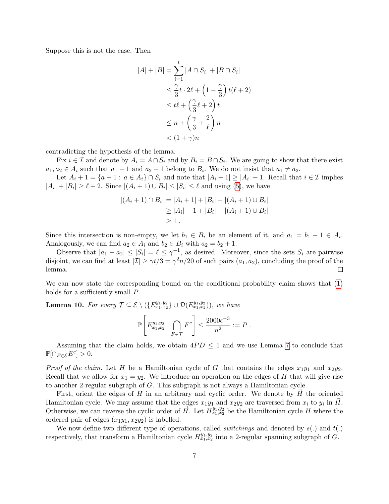Suppose this is not the case. Then

$$
|A| + |B| = \sum_{i=1}^{t} |A \cap S_i| + |B \cap S_i|
$$
  
\n
$$
\leq \frac{\gamma}{3}t \cdot 2\ell + \left(1 - \frac{\gamma}{3}\right)t(\ell + 2)
$$
  
\n
$$
\leq t\ell + \left(\frac{\gamma}{3}\ell + 2\right)t
$$
  
\n
$$
\leq n + \left(\frac{\gamma}{3} + \frac{2}{\ell}\right)n
$$
  
\n
$$
< (1 + \gamma)n
$$

contradicting the hypothesis of the lemma.

Fix  $i \in \mathcal{I}$  and denote by  $A_i = A \cap S_i$  and by  $B_i = B \cap S_i$ . We are going to show that there exist  $a_1, a_2 \in A_i$  such that  $a_1 - 1$  and  $a_2 + 1$  belong to  $B_i$ . We do not insist that  $a_1 \neq a_2$ .

Let  $A_i + 1 = \{a + 1 : a \in A_i\} \cap S_i$  and note that  $|A_i + 1| \geq |A_i| - 1$ . Recall that  $i \in \mathcal{I}$  implies  $|A_i| + |B_i| \ge \ell + 2$ . Since  $|(A_i + 1) \cup B_i| \le |S_i| \le \ell$  and using [\(5\)](#page-5-0), we have

$$
|(A_i + 1) \cap B_i| = |A_i + 1| + |B_i| - |(A_i + 1) \cup B_i|
$$
  
\n
$$
\ge |A_i| - 1 + |B_i| - |(A_i + 1) \cup B_i|
$$
  
\n
$$
\ge 1.
$$

Since this intersection is non-empty, we let  $b_1 \in B_i$  be an element of it, and  $a_1 = b_1 - 1 \in A_i$ . Analogously, we can find  $a_2 \in A_i$  and  $b_2 \in B_i$  with  $a_2 = b_2 + 1$ .

Observe that  $|a_1 - a_2| \leq |S_i| = \ell \leq \gamma^{-1}$ , as desired. Moreover, since the sets  $S_i$  are pairwise disjoint, we can find at least  $|\mathcal{I}| \geq \gamma t/3 = \gamma^2 n/20$  of such pairs  $(a_1, a_2)$ , concluding the proof of the lemma.  $\Box$ 

We can now state the corresponding bound on the conditional probability claim shows that [\(1\)](#page-3-0) holds for a sufficiently small P.

**Lemma 10.** For every  $\mathcal{T} \subseteq \mathcal{E} \setminus (\{E^{y_1,y_2}_{x_1,x_2}\} \cup \mathcal{D}(E^{y_1,y_2}_{x_1,x_2}))$ , we have

$$
\mathbb{P}\left[E_{x_1,x_2}^{y_1,y_2} \mid \bigcap_{F \in \mathcal{T}} F^c\right] \le \frac{2000\epsilon^{-3}}{n^2} := P.
$$

Assuming that the claim holds, we obtain  $4PD \leq 1$  and we use Lemma [7](#page-3-1) to conclude that  $\mathbb{P}[\cap_{E \in \mathcal{E}} E^c] > 0.$ 

*Proof of the claim.* Let H be a Hamiltonian cycle of G that contains the edges  $x_1y_1$  and  $x_2y_2$ . Recall that we allow for  $x_1 = y_2$ . We introduce an operation on the edges of H that will give rise to another 2-regular subgraph of G. This subgraph is not always a Hamiltonian cycle.

First, orient the edges of  $H$  in an arbitrary and cyclic order. We denote by  $H$  the oriented Hamiltonian cycle. We may assume that the edges  $x_1y_1$  and  $x_2y_2$  are traversed from  $x_i$  to  $y_i$  in  $\vec{H}$ . Otherwise, we can reverse the cyclic order of  $\vec{H}$ . Let  $H^{y_1,y_2}_{x_1,x_2}$  be the Hamiltonian cycle H where the ordered pair of edges  $(x_1y_1, x_2y_2)$  is labelled.

We now define two different type of operations, called *switchings* and denoted by  $s(.)$  and  $t(.)$ respectively, that transform a Hamiltonian cycle  $H^{y_1,y_2}_{x_1,x_2}$  into a 2-regular spanning subgraph of G.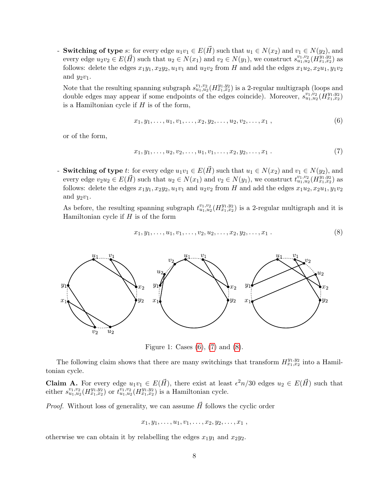- **Switching of type** s: for every edge  $u_1v_1 \in E(\vec{H})$  such that  $u_1 \in N(x_2)$  and  $v_1 \in N(y_2)$ , and every edge  $u_2v_2 \in E(\vec{H})$  such that  $u_2 \in N(x_1)$  and  $v_2 \in N(y_1)$ , we construct  $s_{u_1,u_2}^{v_1,v_2}(H_{x_1,x_2}^{y_1,y_2})$  as follows: delete the edges  $x_1y_1, x_2y_2, u_1v_1$  and  $u_2v_2$  from H and add the edges  $x_1u_2, x_2u_1, y_1v_2$ and  $y_2v_1$ .

Note that the resulting spanning subgraph  $s_{u_1,u_2}^{v_1,v_2}(H_{x_1,x_2}^{y_1,y_2})$  is a 2-regular multigraph (loops and double edges may appear if some endpoints of the edges coincide). Moreover,  $s_{u_1,u_2}^{v_1,v_2}(H_{x_1,x_2}^{y_1,y_2})$ is a Hamiltonian cycle if  $H$  is of the form,

<span id="page-7-0"></span>
$$
x_1, y_1, \ldots, u_1, v_1, \ldots, x_2, y_2, \ldots, u_2, v_2, \ldots, x_1,
$$
\n
$$
(6)
$$

or of the form,

<span id="page-7-1"></span>
$$
x_1, y_1, \ldots, u_2, v_2, \ldots, u_1, v_1, \ldots, x_2, y_2, \ldots, x_1.
$$
\n<sup>(7)</sup>

- **Switching of type** t: for every edge  $u_1v_1 \in E(\vec{H})$  such that  $u_1 \in N(x_2)$  and  $v_1 \in N(y_2)$ , and every edge  $v_2u_2 \in E(\vec{H})$  such that  $u_2 \in N(x_1)$  and  $v_2 \in N(y_1)$ , we construct  $t^{v_1, v_2}_{u_1, u_2}(H^{y_1, y_2}_{x_1, x_2})$  as follows: delete the edges  $x_1y_1, x_2y_2, u_1v_1$  and  $u_2v_2$  from H and add the edges  $x_1u_2, x_2u_1, y_1v_2$ and  $y_2v_1$ .

As before, the resulting spanning subgraph  $t_{u_1,u_2}^{v_1,v_2}(H_{x_1,x_2}^{y_1,y_2})$  is a 2-regular multigraph and it is Hamiltonian cycle if  $H$  is of the form

<span id="page-7-2"></span>
$$
x_1, y_1, \ldots, u_1, v_1, \ldots, v_2, u_2, \ldots, x_2, y_2, \ldots, x_1.
$$
 (8)



Figure 1: Cases [\(6\)](#page-7-0), [\(7\)](#page-7-1) and [\(8\)](#page-7-2).

The following claim shows that there are many switchings that transform  $H_{x_1,x_2}^{y_1,y_2}$  into a Hamiltonian cycle.

<span id="page-7-3"></span>**Claim A.** For every edge  $u_1v_1 \in E(\vec{H})$ , there exist at least  $\epsilon^2 n/30$  edges  $u_2 \in E(\vec{H})$  such that either  $s_{u_1,u_2}^{v_1,v_2}(H_{x_1,x_2}^{y_1,y_2})$  or  $t_{u_1,u_2}^{\overline{v_1},v_2}(H_{x_1,x_2}^{y_1,y_2})$  is a Hamiltonian cycle.

*Proof.* Without loss of generality, we can assume  $\vec{H}$  follows the cyclic order

$$
x_1, y_1, \ldots, u_1, v_1, \ldots, x_2, y_2, \ldots, x_1
$$
,

otherwise we can obtain it by relabelling the edges  $x_1y_1$  and  $x_2y_2$ .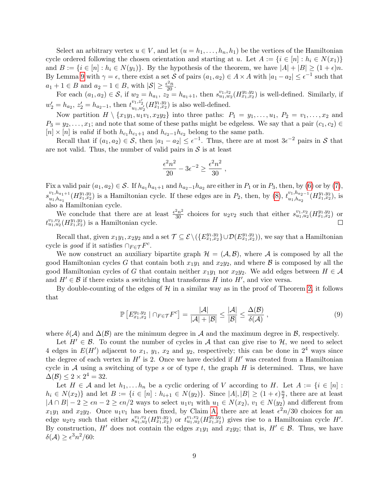Select an arbitrary vertex  $u \in V$ , and let  $(u = h_1, \ldots, h_n, h_1)$  be the vertices of the Hamiltonian cycle ordered following the chosen orientation and starting at u. Let  $A := \{i \in [n] : h_i \in N(x_1)\}\$ and  $B := \{i \in [n] : h_i \in N(y_1)\}\$ . By the hypothesis of the theorem, we have  $|A| + |B| \geq (1 + \epsilon)n$ . By Lemma [9](#page-5-1) with  $\gamma = \epsilon$ , there exist a set S of pairs  $(a_1, a_2) \in A \times A$  with  $|a_1 - a_2| \leq \epsilon^{-1}$  such that  $a_1 + 1 \in B$  and  $a_2 - 1 \in B$ , with  $|\mathcal{S}| \geq \frac{\epsilon^2 n}{20}$ .

For each  $(a_1, a_2) \in S$ , if  $w_2 = h_{a_1}, z_2 = h_{a_1+1}$ , then  $s_{u_1, w_2}^{v_1, z_2} (H_{x_1, x_2}^{y_1, y_2})$  is well-defined. Similarly, if  $w'_2 = h_{a_2}, z'_2 = h_{a_2-1}$ , then  $t_{u_1, w'_2}^{v_1, z'_2}(H_{x_1, x_2}^{y_1, y_2})$  is also well-defined.

Now partition  $H \setminus \{x_1y_1, u_1v_1, x_2y_2\}$  into three paths:  $P_1 = y_1, \ldots, u_1, P_2 = v_1, \ldots, x_2$  and  $P_3 = y_2, \ldots, x_1$ ; and note that some of these paths might be edgeless. We say that a pair  $(c_1, c_2) \in$  $[n] \times [n]$  is valid if both  $h_{c_1} h_{c_1+1}$  and  $h_{c_2-1} h_{c_2}$  belong to the same path.

Recall that if  $(a_1, a_2) \in \mathcal{S}$ , then  $|a_1 - a_2| \leq \epsilon^{-1}$ . Thus, there are at most  $3\epsilon^{-2}$  pairs in  $\mathcal{S}$  that are not valid. Thus, the number of valid pairs in  $S$  is at least

$$
\frac{\epsilon^2 n^2}{20} - 3\epsilon^{-2} \ge \frac{\epsilon^2 n^2}{30} ,
$$

Fix a valid pair  $(a_1, a_2) \in S$ . If  $h_{a_1}h_{a_1+1}$  and  $h_{a_2-1}h_{a_2}$  are either in  $P_1$  or in  $P_3$ , then, by [\(6\)](#page-7-0) or by [\(7\)](#page-7-1),  $s_{u_1,h_1}^{v_1,h_{a_1+1}}$  $u_1,h_{a_1+1}$   $(H_{x_1,x_2}^{y_1,y_2})$  is a Hamiltonian cycle. If these edges are in  $P_2$ , then, by [\(8\)](#page-7-2),  $t_{u_1,h_{a_2-1}$   $u_1,h_{a_2-1}$  $\frac{v_1,h_{a_2}-1}{u_1,h_{a_2}}(H^{y_1,y_2}_{x_1,x_2}),$  is also a Hamiltonian cycle.

We conclude that there are at least  $\frac{\epsilon^2 n^2}{30}$  choices for  $u_2v_2$  such that either  $s_{u_1,u_2}^{v_1,v_2}(H_{x_1,x_2}^{y_1,y_2})$  or  $t_{u_1, u_2}^{v_1, v_2} (H_{x_1, x_2}^{y_1, y_2})$  is a Hamiltonian cycle.  $\Box$ 

Recall that, given  $x_1y_1, x_2y_2$  and a set  $\mathcal{T} \subseteq \mathcal{E} \setminus (\{E^{y_1,y_2}_{x_1,x_2}\} \cup \mathcal{D}(E^{y_1,y_2}_{x_1,x_2}))$ , we say that a Hamiltonian cycle is *good* if it satisfies  $\cap_{F \in \mathcal{T}} F^c$ .

We now construct an auxiliary bipartite graph  $\mathcal{H} = (\mathcal{A}, \mathcal{B})$ , where  $\mathcal{A}$  is composed by all the good Hamiltonian cycles G that contain both  $x_1y_1$  and  $x_2y_2$ , and where B is composed by all the good Hamiltonian cycles of G that contain neither  $x_1y_1$  nor  $x_2y_2$ . We add edges between  $H \in \mathcal{A}$ and  $H' \in \mathcal{B}$  if there exists a switching that transforms H into H', and vice versa.

By double-counting of the edges of  $\mathcal H$  in a similar way as in the proof of Theorem [2,](#page-1-1) it follows that

<span id="page-8-0"></span>
$$
\mathbb{P}\left[E_{x_1,x_2}^{y_1,y_2} \mid \cap_{F \in \mathcal{T}} F^c\right] = \frac{|\mathcal{A}|}{|\mathcal{A}| + |\mathcal{B}|} \le \frac{|\mathcal{A}|}{|\mathcal{B}|} \le \frac{\Delta(\mathcal{B})}{\delta(\mathcal{A})},\tag{9}
$$

where  $\delta(\mathcal{A})$  and  $\Delta(\mathcal{B})$  are the minimum degree in A and the maximum degree in B, respectively.

Let  $H' \in \mathcal{B}$ . To count the number of cycles in A that can give rise to H, we need to select 4 edges in  $E(H')$  adjacent to  $x_1, y_1, x_2$  and  $y_2$ , respectively; this can be done in  $2^4$  ways since the degree of each vertex in  $H'$  is 2. Once we have decided if  $H'$  was created from a Hamiltonian cycle in A using a switching of type s or of type t, the graph  $H$  is determined. Thus, we have  $\Delta(\mathcal{B}) \leq 2 \times 2^4 = 32.$ 

Let  $H \in \mathcal{A}$  and let  $h_1, \ldots h_n$  be a cyclic ordering of V according to H. Let  $A := \{i \in [n] :$  $h_i \in N(x_2)$  and let  $B := \{i \in [n] : h_{i+1} \in N(y_2)\}\.$  Since  $|A|, |B| \geq (1 + \epsilon)\frac{n}{2}$  $\frac{n}{2}$ , there are at least  $|A \cap B| - 2 \geq \epsilon n - 2 \geq \epsilon n/2$  ways to select  $u_1v_1$  with  $u_1 \in N(x_2), v_1 \in N(y_2)$  and different from  $x_1y_1$  and  $x_2y_2$ . Once  $u_1v_1$  has been fixed, by Claim [A,](#page-7-3) there are at least  $\epsilon^2n/30$  choices for an edge  $u_2v_2$  such that either  $s_{u_1,u_2}^{v_1,v_2}(H_{x_1,x_2}^{y_1,y_2})$  or  $t_{u_1,u_2}^{v_1,v_2}(H_{x_1,x_2}^{y_1,y_2})$  gives rise to a Hamiltonian cycle  $H'$ . By construction, H' does not contain the edges  $x_1y_1$  and  $x_2y_2$ ; that is,  $H' \in \mathcal{B}$ . Thus, we have  $\delta(\mathcal{A}) \geq \epsilon^3 n^2/60$ :